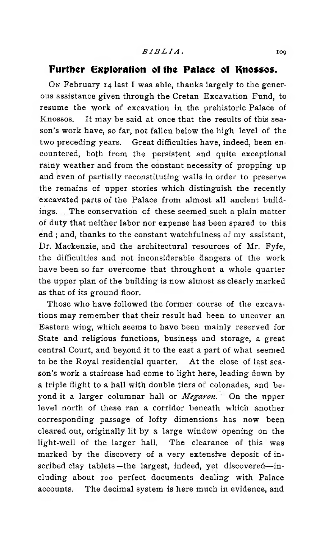## Further Exploration of the Palace of Knossos.

**O<sup>n</sup>** February 14 last I was able, thanks largely to the generous assistance given through the Cretan Excavation Fund, to resume the work of excavation in the prehistoric Palace of Knossos. It may be said at once that the results of this season's work have, so far, not fallen below the high level of the two preceding years. Great difficulties have, indeed, been encountered, both from the persistent and quite exceptional rainy weather and from the constant necessity of propping up and even of partially reconstituting walls in order to preserve the remains of upper stories which distinguish the recently excavated parts of the Palace from almost all ancient buildings. The conservation of these seemed such a plain matter of duty that neither labor nor expense has been spared to this end ; and, thanks to the constant watchfulness of my assistant, Dr. Mackenzie, and the architectural resources of Mr. Fyfe, the difficulties and not inconsiderable dangers of the work have been so far overcome that throughout a whole quarter the upper plan of the building is now almost as clearly marked as that of its ground floor.

Those who have followed the former course of the excavations may remember that their result had been to uncover an Eastern wing, which seems to have been mainly reserved for State and religious functions, business and storage, a great central Court, and beyond it to the east a part of what seemed to be the Royal residential quarter. At the close of last season's work a staircase had come to light here, leading down by a triple flight to a hall with double tiers of colonades, and beyond it a larger columnar hall or *Megaron*. On the upper level north of these ran a corridor beneath which another corresponding passage of lofty dimensions has now been cleared out, originally lit by a large window opening on the light-well of the larger hall. The clearance of this was marked by the discovery of a very extensive deposit of inscribed clay tablets —the largest, indeed, yet discovered—including about 100 perfect documents dealing with Palace accounts. The decimal system is here much in evidence, and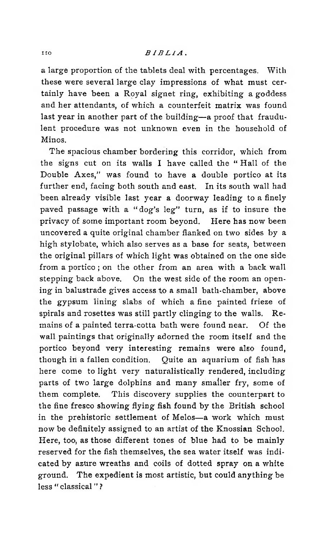## n o *B I B L I A* .

a large proportion of the tablets deal with percentages. With these were several large clay impressions of what must certainly have been a Royal signet ring, exhibiting a goddess and her attendants, of which a counterfeit matrix was found last year in another part of the building—a proof that fraudulent procedure was not unknown even in the household of Minos.

The spacious chamber bordering this corridor, which from the signs cut on its walls I have called the " Hall of the Double Axes," was found to have a double portico at its further end, facing both south and east. In its south wall had been already visible last year a doorway leading to a finely paved passage with a " dog's leg" turn, as if to insure the privacy of some important room beyond. Here has now been uncovered a quite original chamber flanked on two sides by a high stylobate, which also serves as a base for seats, between the original pillars of which light was obtained on the one side from a portico ; on the other from an area with a back wall stepping back above. On the west side of the room an opening in balustrade gives access to a small bath-chamber, above the gypsum lining slabs of which a fine painted frieze of spirals and rosettes was still partly clinging to the walls. Remains of a painted terra-cotta bath were found near. Of the wall paintings that originally adorned the room itself and the portico beyond very interesting remains were also found, though in a fallen condition. Quite an aquarium of fish has here come to light very naturalistically rendered, including parts of two large dolphins and many smaller fry, some of them complete. This discovery supplies the counterpart to the fine fresco showing flying fish found by the British school in the prehistoric settlement of Melos—a work which must now be definitely assigned to an artist of the Knossian School. Here, too, as those different tones of blue had to be mainly reserved for the fish themselves, the sea water itself was indicated by azure wreaths and coils of dotted spray on a white ground. The expedient is most artistic, but could anything be less " classical " ?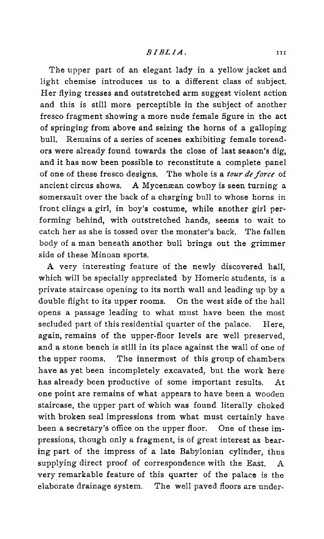The upper part of an elegant lady in a yellow jacket and light chemise introduces us to a different class of subject. Her flying tresses and outstretched arm suggest violent action and this is still more perceptible in the subject of another fresco fragment showing a more nude female figure in the act of springing from above and seizing the horns of a galloping bull. Remains of a series of scenes exhibiting female toreadors were already found towards the close of last season's dig, and it has now been possible to reconstitute a complete panel of one of these fresco designs. The whole is a *tour de force* of ancient circus shows. A Mycenæan cowboy is seen turning a somersault over the back of a charging bull to whose horns in front clings a girl, in boy's costume, while another girl performing behind, with outstretched hands, seems to wait to catch her as she is tossed over the monster's back. The fallen body of a man beneath another bull brings out the grimmer side of these Minoan sports.

A very interesting feature of the newly discovered hall, which will be specially appreciated by Homeric students, is a private staircase opening to its north wall and leading up by a double flight to its upper rooms. On the west side of the hall opens a passage leading to what must have been the most secluded part of this residential quarter of the palace. Here, again, remains of the upper-floor levels are well preserved, and a stone bench is still in its place against the wall of one of the upper rooms. The innermost of this group of chambers have as yet been incompletely excavated, but the work here has already been productive of some important results. At one point are remains of what appears to have been a wooden staircase, the upper part of which was found literally choked with broken seal impressions from what must certainly have been a secretary's office on the upper floor. One of these impressions, though only a fragment, is of great interest as bearing part of the impress of a late Babylonian cylinder, thus supplying direct proof of correspondence with the East. A very remarkable feature of this quarter of the palace is the elaborate drainage system. The well paved floors are under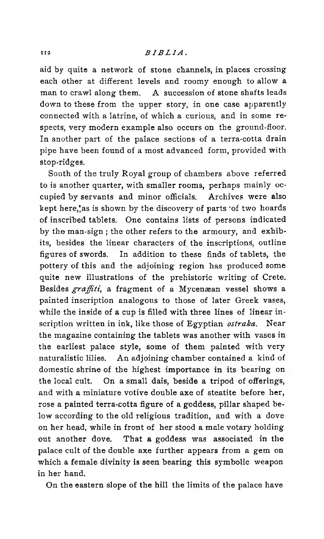aid by quite a network of stone channels, in places crossing each other at different levels and roomy enough to allow a man to crawl along them. A succession of stone shafts leads down to these from the upper story, in one case apparently connected with a latrine, of which a curious, and in some respects, very modern example also occurs on the ground-floor. In another part of the palace sections of a terra-cotta drain pipe have been found of a most advanced form, provided with stop-ridges.

South of the truly Royal group of chambers above referred to is another quarter, with smaller rooms, perhaps mainly occupied by servants and minor officials. Archives were also kept here, as is shown by the discovery of parts 'of two hoards of inscribed tablets. One contains lists of persons indicated by the man-sign ; the other refers to the armoury, and exhibits, besides the linear characters of the inscriptions, outline figures of swords. In addition to these finds of tablets, the pottery of this and the adjoining region has produced some quite new illustrations of the prehistoric writing of Crete. Besides *graffiti*, a fragment of a Mycenæan vessel shows a painted inscription analogous to those of later Greek vases, while the inside of a cup is filled with three lines of linear inscription written in ink, like those of Egyptian *ostraka.* Near the magazine containing the tablets was another with vases in the earliest palace style, some of them painted with very naturalistic lilies. An adjoining chamber contained a kind of domestic shrine of the highest importance in its bearing on the local cult. On a small dais, beside a tripod of offerings, and with a miniature votive double axe of steatite before her, rose a painted terra-cotta figure of a goddess, pillar shaped below according to the old religious tradition, and with a dove on her head, while in front of her stood a male votary holding out another dove. That a goddess was associated in the palace cult of the double axe further appears from a gem on which a female divinity is seen bearing this symbolic weapon in her hand.

On the eastern slope of the hill the limits of the palace have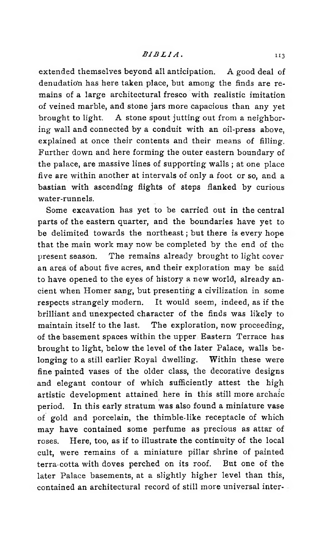extended themselves beyond all anticipation. A good deal of denudation has here taken place, but among the finds are remains of a large architectural fresco with realistic imitation of veined marble, and stone jars more capacious than any yet brought to light. A stone spout jutting out from a neighboring wall and connected by a conduit with an oil-press above, explained at once their contents and their means of filling. Further down and here forming the outer eastern boundary of the palace, are massive lines of supporting walls ; at one place five are within another at intervals of only a foot or so, and a bastian with ascending flights of steps flanked by curious water-runnels.

Some excavation has yet to be carried out in the central parts of the eastern quarter, and the boundaries have yet to be delimited towards the northeast ; but there is every hope that the main work may now be completed by the end of the present season. The remains already brought to light cover an area of about five acres, and their exploration may be said to have opened to the eyes of history a new world, already ancient when Homer sang, but presenting a civilization in some respects strangely modern. It would seem, indeed, as if the brilliant and unexpected character of the finds was likely to maintain itself to the last. The exploration, now proceeding, of the basement spaces within the upper Eastern Terrace has brought to light, below the level of the later Palace, walls belonging to a still earlier Royal dwelling. Within these were fine painted vases of the older class, the decorative designs and elegant contour of which sufficiently attest the high artistic development attained here in this still more archaic period. In this early stratum was also found a miniature vase of gold and porcelain, the thimble-like receptacle of which may have contained some perfume as precious as attar of roses. Here, too, as if to illustrate the continuity of the local cult, were remains of a miniature pillar shrine of painted terra-cotta with doves perched on its roof. But one of the later Palace basements, at a slightly higher level than this, contained an architectural record of still more universal inter-